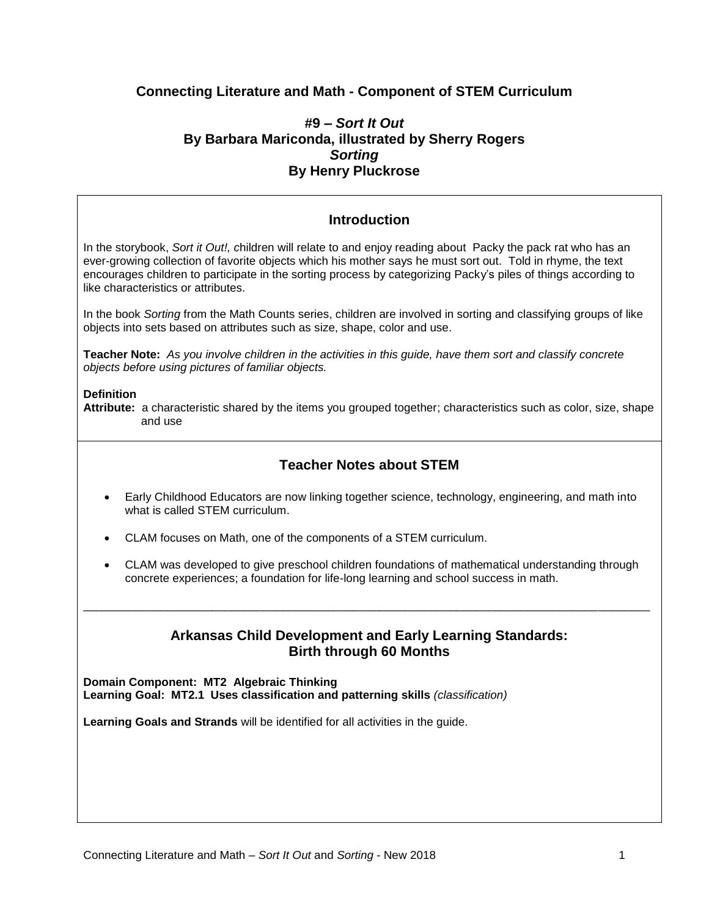# **Connecting Literature and Math - Component of STEM Curriculum**

## **#9 –** *Sort It Out* **By Barbara Mariconda, illustrated by Sherry Rogers** *Sorting* **By Henry Pluckrose**

# **Introduction**

In the storybook, *Sort it Out!, c*hildren will relate to and enjoy reading about Packy the pack rat who has an ever-growing collection of favorite objects which his mother says he must sort out. Told in rhyme, the text encourages children to participate in the sorting process by categorizing Packy's piles of things according to like characteristics or attributes.

In the book *Sorting* from the Math Counts series, children are involved in sorting and classifying groups of like objects into sets based on attributes such as size, shape, color and use.

**Teacher Note:** *As you involve children in the activities in this guide, have them sort and classify concrete objects before using pictures of familiar objects.*

#### **Definition**

**Attribute:** a characteristic shared by the items you grouped together; characteristics such as color, size, shape and use

## **Teacher Notes about STEM**

- Early Childhood Educators are now linking together science, technology, engineering, and math into what is called STEM curriculum.
- CLAM focuses on Math, one of the components of a STEM curriculum.
- CLAM was developed to give preschool children foundations of mathematical understanding through concrete experiences; a foundation for life-long learning and school success in math.

## **Arkansas Child Development and Early Learning Standards: Birth through 60 Months**

\_\_\_\_\_\_\_\_\_\_\_\_\_\_\_\_\_\_\_\_\_\_\_\_\_\_\_\_\_\_\_\_\_\_\_\_\_\_\_\_\_\_\_\_\_\_\_\_\_\_\_\_\_\_\_\_\_\_\_\_\_\_\_\_\_\_\_\_\_\_\_\_\_\_\_\_\_\_\_\_\_\_\_\_\_\_\_\_

**Domain Component: MT2 Algebraic Thinking Learning Goal: MT2.1 Uses classification and patterning skills** *(classification)*

**Learning Goals and Strands** will be identified for all activities in the guide.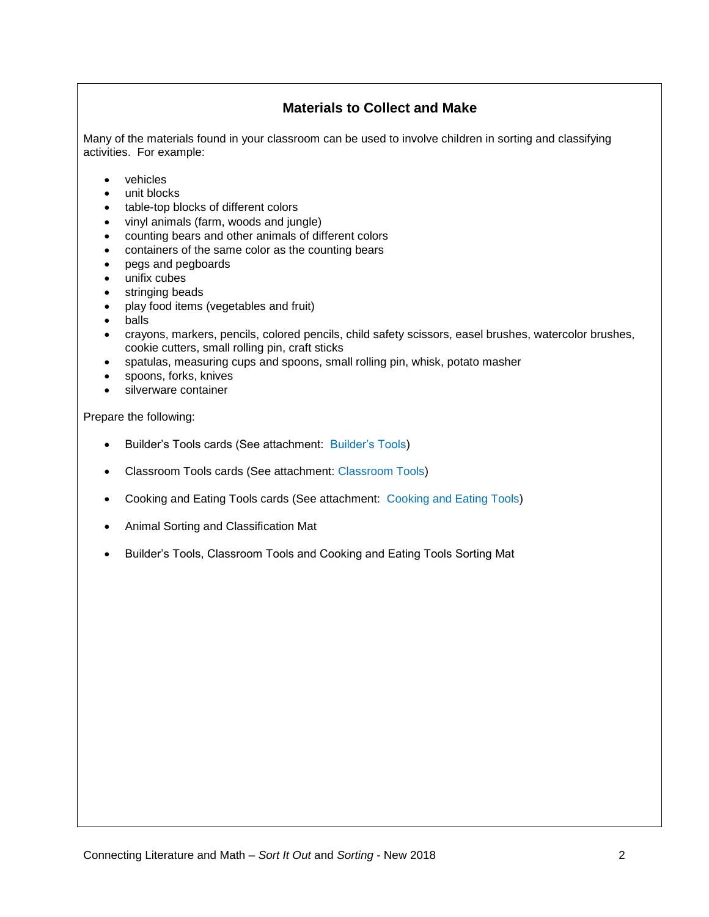# **Materials to Collect and Make**

Many of the materials found in your classroom can be used to involve children in sorting and classifying activities. For example:

- vehicles
- unit blocks
- table-top blocks of different colors
- vinyl animals (farm, woods and jungle)
- counting bears and other animals of different colors
- containers of the same color as the counting bears
- pegs and pegboards
- unifix cubes
- stringing beads
- play food items (vegetables and fruit)
- balls
- crayons, markers, pencils, colored pencils, child safety scissors, easel brushes, watercolor brushes, cookie cutters, small rolling pin, craft sticks
- spatulas, measuring cups and spoons, small rolling pin, whisk, potato masher
- spoons, forks, knives
- silverware container

Prepare the following:

- Builder's Tools cards (See attachment: Builder's Tools)
- Classroom Tools cards (See attachment: Classroom Tools)
- Cooking and Eating Tools cards (See attachment: Cooking and Eating Tools)
- Animal Sorting and Classification Mat
- Builder's Tools, Classroom Tools and Cooking and Eating Tools Sorting Mat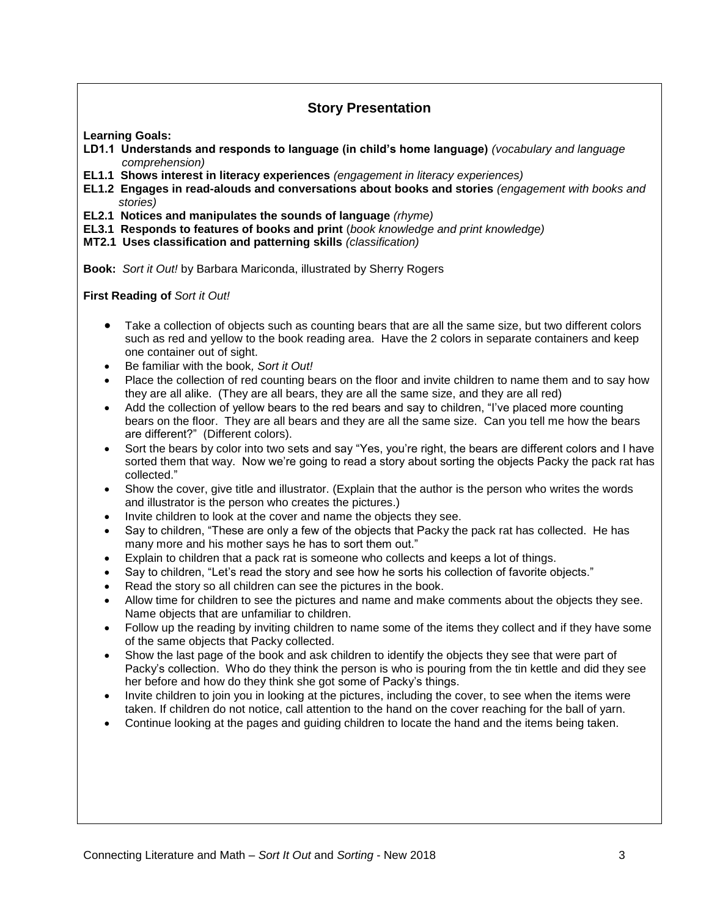# **Story Presentation**

**Learning Goals:**

- **LD1.1 Understands and responds to language (in child's home language)** *(vocabulary and language comprehension)*
- **EL1.1 Shows interest in literacy experiences** *(engagement in literacy experiences)*
- **EL1.2 Engages in read-alouds and conversations about books and stories** *(engagement with books and stories)*
- **EL2.1 Notices and manipulates the sounds of language** *(rhyme)*
- **EL3.1 Responds to features of books and print** (*book knowledge and print knowledge)*
- **MT2.1 Uses classification and patterning skills** *(classification)*

**Book:** *Sort it Out!* by Barbara Mariconda, illustrated by Sherry Rogers

**First Reading of** *Sort it Out!*

- Take a collection of objects such as counting bears that are all the same size, but two different colors such as red and yellow to the book reading area. Have the 2 colors in separate containers and keep one container out of sight.
- Be familiar with the book*, Sort it Out!*
- Place the collection of red counting bears on the floor and invite children to name them and to say how they are all alike. (They are all bears, they are all the same size, and they are all red)
- Add the collection of yellow bears to the red bears and say to children, "I've placed more counting bears on the floor. They are all bears and they are all the same size. Can you tell me how the bears are different?" (Different colors).
- Sort the bears by color into two sets and say "Yes, you're right, the bears are different colors and I have sorted them that way. Now we're going to read a story about sorting the objects Packy the pack rat has collected."
- Show the cover, give title and illustrator. (Explain that the author is the person who writes the words and illustrator is the person who creates the pictures.)
- Invite children to look at the cover and name the objects they see.
- Say to children, "These are only a few of the objects that Packy the pack rat has collected. He has many more and his mother says he has to sort them out."
- Explain to children that a pack rat is someone who collects and keeps a lot of things.
- Say to children, "Let's read the story and see how he sorts his collection of favorite objects."
- Read the story so all children can see the pictures in the book.
- Allow time for children to see the pictures and name and make comments about the objects they see. Name objects that are unfamiliar to children.
- Follow up the reading by inviting children to name some of the items they collect and if they have some of the same objects that Packy collected.
- Show the last page of the book and ask children to identify the objects they see that were part of Packy's collection. Who do they think the person is who is pouring from the tin kettle and did they see her before and how do they think she got some of Packy's things.
- Invite children to join you in looking at the pictures, including the cover, to see when the items were taken. If children do not notice, call attention to the hand on the cover reaching for the ball of yarn.
- Continue looking at the pages and guiding children to locate the hand and the items being taken.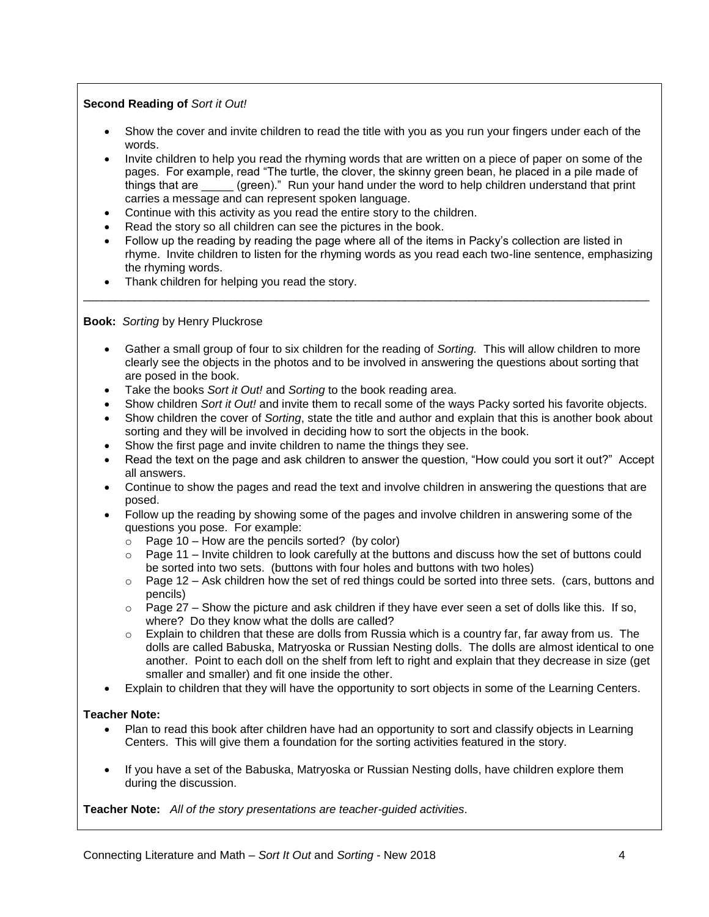## **Second Reading of** *Sort it Out!*

- Show the cover and invite children to read the title with you as you run your fingers under each of the words.
- Invite children to help you read the rhyming words that are written on a piece of paper on some of the pages. For example, read "The turtle, the clover, the skinny green bean, he placed in a pile made of things that are \_\_\_\_\_ (green)." Run your hand under the word to help children understand that print carries a message and can represent spoken language.
- Continue with this activity as you read the entire story to the children.
- Read the story so all children can see the pictures in the book.
- Follow up the reading by reading the page where all of the items in Packy's collection are listed in rhyme. Invite children to listen for the rhyming words as you read each two-line sentence, emphasizing the rhyming words.
- Thank children for helping you read the story.

**Book:** *Sorting* by Henry Pluckrose

 Gather a small group of four to six children for the reading of *Sorting.* This will allow children to more clearly see the objects in the photos and to be involved in answering the questions about sorting that are posed in the book.

\_\_\_\_\_\_\_\_\_\_\_\_\_\_\_\_\_\_\_\_\_\_\_\_\_\_\_\_\_\_\_\_\_\_\_\_\_\_\_\_\_\_\_\_\_\_\_\_\_\_\_\_\_\_\_\_\_\_\_\_\_\_\_\_\_\_\_\_\_\_\_\_\_\_\_\_\_\_\_\_\_\_\_\_\_\_\_\_

- Take the books *Sort it Out!* and *Sorting* to the book reading area.
- Show children *Sort it Out!* and invite them to recall some of the ways Packy sorted his favorite objects.
- Show children the cover of *Sorting*, state the title and author and explain that this is another book about sorting and they will be involved in deciding how to sort the objects in the book.
- Show the first page and invite children to name the things they see.
- Read the text on the page and ask children to answer the question, "How could you sort it out?" Accept all answers.
- Continue to show the pages and read the text and involve children in answering the questions that are posed.
- Follow up the reading by showing some of the pages and involve children in answering some of the questions you pose. For example:
	- $\circ$  Page 10 How are the pencils sorted? (by color)
	- $\circ$  Page 11 Invite children to look carefully at the buttons and discuss how the set of buttons could be sorted into two sets. (buttons with four holes and buttons with two holes)
	- $\circ$  Page 12 Ask children how the set of red things could be sorted into three sets. (cars, buttons and pencils)
	- $\circ$  Page 27 Show the picture and ask children if they have ever seen a set of dolls like this. If so, where? Do they know what the dolls are called?
	- $\circ$  Explain to children that these are dolls from Russia which is a country far, far away from us. The dolls are called Babuska, Matryoska or Russian Nesting dolls. The dolls are almost identical to one another. Point to each doll on the shelf from left to right and explain that they decrease in size (get smaller and smaller) and fit one inside the other.
- Explain to children that they will have the opportunity to sort objects in some of the Learning Centers.

## **Teacher Note:**

- Plan to read this book after children have had an opportunity to sort and classify objects in Learning Centers. This will give them a foundation for the sorting activities featured in the story.
- If you have a set of the Babuska, Matryoska or Russian Nesting dolls, have children explore them during the discussion.

**Teacher Note:** *All of the story presentations are teacher-guided activities*.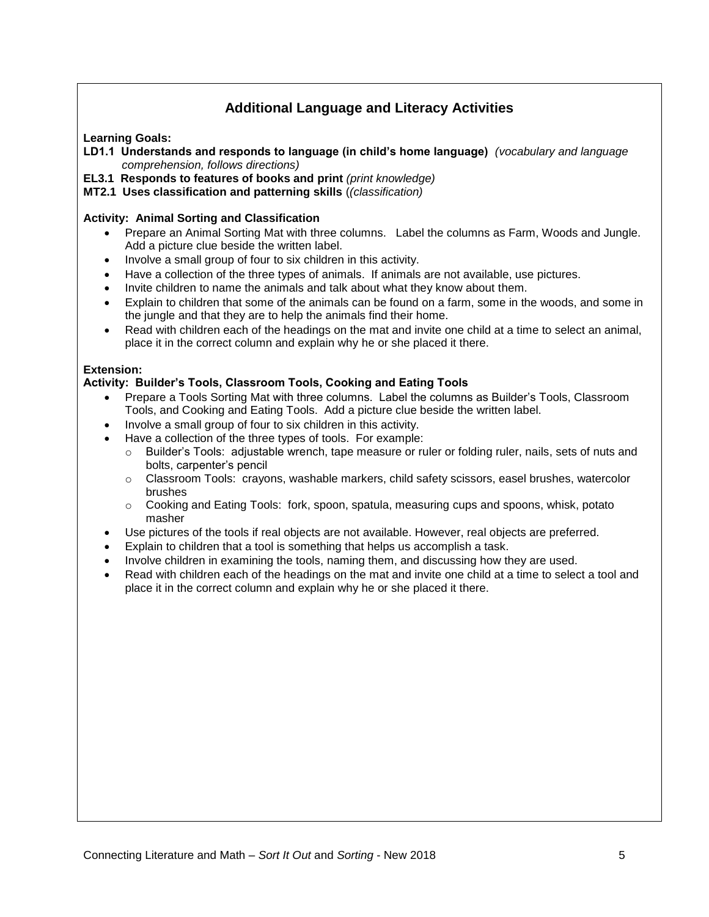# **Additional Language and Literacy Activities**

**Learning Goals:**

- **LD1.1 Understands and responds to language (in child's home language)** *(vocabulary and language comprehension, follows directions)*
- **EL3.1 Responds to features of books and print** *(print knowledge)*
- **MT2.1 Uses classification and patterning skills** (*(classification)*

### **Activity: Animal Sorting and Classification**

- Prepare an Animal Sorting Mat with three columns. Label the columns as Farm, Woods and Jungle. Add a picture clue beside the written label.
- Involve a small group of four to six children in this activity.
- Have a collection of the three types of animals. If animals are not available, use pictures.
- Invite children to name the animals and talk about what they know about them.
- Explain to children that some of the animals can be found on a farm, some in the woods, and some in the jungle and that they are to help the animals find their home.
- Read with children each of the headings on the mat and invite one child at a time to select an animal, place it in the correct column and explain why he or she placed it there.

### **Extension:**

### **Activity: Builder's Tools, Classroom Tools, Cooking and Eating Tools**

- Prepare a Tools Sorting Mat with three columns. Label the columns as Builder's Tools, Classroom Tools, and Cooking and Eating Tools. Add a picture clue beside the written label.
- Involve a small group of four to six children in this activity.
- Have a collection of the three types of tools. For example:
	- $\circ$  Builder's Tools: adjustable wrench, tape measure or ruler or folding ruler, nails, sets of nuts and bolts, carpenter's pencil
	- o Classroom Tools: crayons, washable markers, child safety scissors, easel brushes, watercolor brushes
	- $\circ$  Cooking and Eating Tools: fork, spoon, spatula, measuring cups and spoons, whisk, potato masher
- Use pictures of the tools if real objects are not available. However, real objects are preferred.
- Explain to children that a tool is something that helps us accomplish a task.
- Involve children in examining the tools, naming them, and discussing how they are used.
- Read with children each of the headings on the mat and invite one child at a time to select a tool and place it in the correct column and explain why he or she placed it there.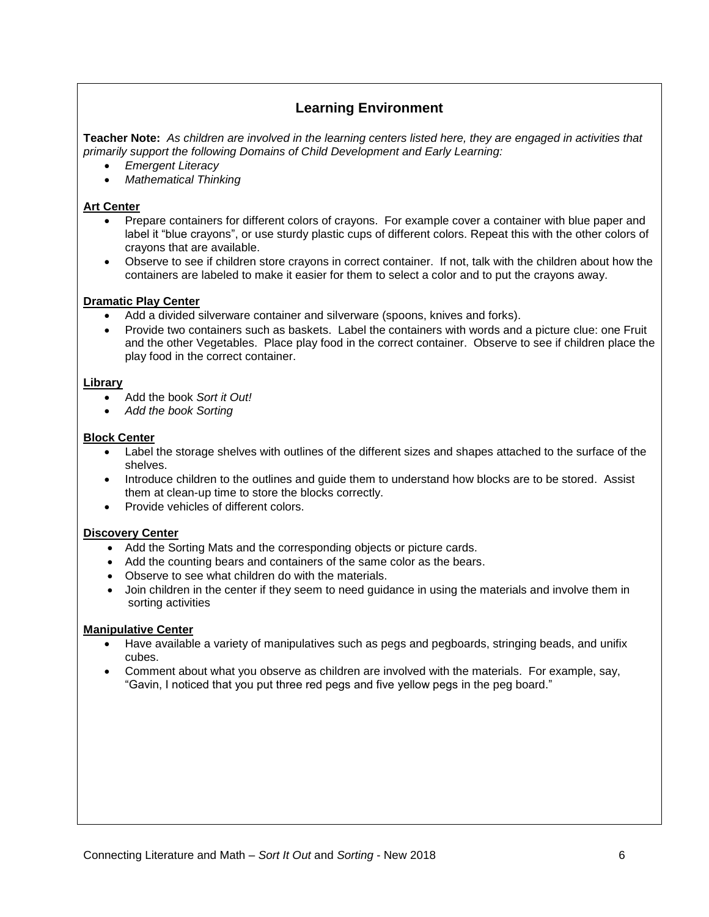# **Learning Environment**

**Teacher Note:** *As children are involved in the learning centers listed here, they are engaged in activities that primarily support the following Domains of Child Development and Early Learning:*

- *Emergent Literacy*
- *Mathematical Thinking*

### **Art Center**

- Prepare containers for different colors of crayons. For example cover a container with blue paper and label it "blue crayons", or use sturdy plastic cups of different colors. Repeat this with the other colors of crayons that are available.
- Observe to see if children store crayons in correct container. If not, talk with the children about how the containers are labeled to make it easier for them to select a color and to put the crayons away.

#### **Dramatic Play Center**

- Add a divided silverware container and silverware (spoons, knives and forks).
- Provide two containers such as baskets. Label the containers with words and a picture clue: one Fruit and the other Vegetables. Place play food in the correct container. Observe to see if children place the play food in the correct container.

#### **Library**

- Add the book *Sort it Out!*
- *Add the book Sorting*

#### **Block Center**

- Label the storage shelves with outlines of the different sizes and shapes attached to the surface of the shelves.
- Introduce children to the outlines and guide them to understand how blocks are to be stored. Assist them at clean-up time to store the blocks correctly.
- **•** Provide vehicles of different colors.

#### **Discovery Center**

- Add the Sorting Mats and the corresponding objects or picture cards.
- Add the counting bears and containers of the same color as the bears.
- Observe to see what children do with the materials.
- Join children in the center if they seem to need guidance in using the materials and involve them in sorting activities

#### **Manipulative Center**

- Have available a variety of manipulatives such as pegs and pegboards, stringing beads, and unifix cubes.
- Comment about what you observe as children are involved with the materials. For example, say, "Gavin, I noticed that you put three red pegs and five yellow pegs in the peg board."